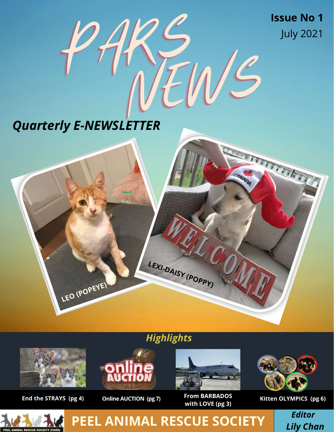**Issue No 1** July 2021

TETT TELEVISION

to.

# NEWS *Quarterly E-NEWSLETTER*

**LEO (POPEYE)**

PARS

## *Highlights*

**LEXI-DAISY (POPPY)**



#### **End the STRAYS (pg 4) Online AUCTION (pg 7)**





**From BARBADOS with LOVE (pg 3)**



**Kitten OLYMPICS (pg 6)**

*Editor Lily Chan*



**PEEL ANIMAL RESCUE SOCIETY**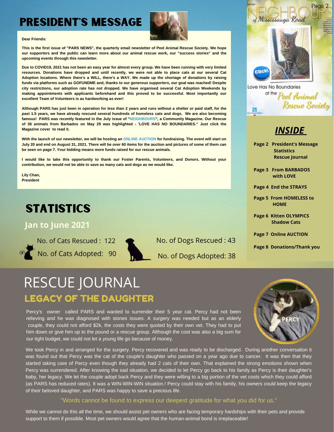## PRESIDENT'S MESSAGE



#### **Dear Friends:**

This is the first issue of "PARS NEWS", the quarterly email newsletter of Peel Animal Rescue Society. We hope our supporters and the public can learn more about our animal rescue work, our "success stories" and the **upcoming events through this newsletter.**

Due to COVID19, 2021 has not been an easy year for almost every group. We have been running with very limited resources. Donations have dropped and until recently, we were not able to place cats at our several Cat Adoption locations. Where there's a WILL, there's a WAY. We made up the shortage of donations by raising funds via platforms such as GOFUNDME and, thanks to our generous supporters, our goal was reached! Despite **city restrictions, our adoption rate has not dropped. We have organised several Cat Adoption Weekends by making appointments with applicants beforehand and this proved to be successful. Most importantly our excellent Team of Volunteers is as hardworking as ever!**

Although PARS has just been in operation for less than 2 years and runs without a shelter or paid staff, for the past 1.5 years, we have already rescued several hundreds of homeless cats and dogs. We are also becoming **famous! PARS was recently featured in the July issue of "NEIGHBOURS", a Community Magazine. Our Rescue of 36 animals from Barbados on May 29 was highlighted - 'LOVE HAS NO BOUNDARIES." Just click the Magazine cover to read it.**

With the launch of our newsletter, we will be hosting an ONLINE AUCTION for fundraising. The event will start on July 20 and end on August 31, 2021. There will be over 60 items for the auction and pictures of some of them can **be seen on page 7. Your bidding means more funds raised for our rescue animals.**

**I would like to take this opportunity to thank our Foster Parents, Volunteers, and Donors. Without your contribution, we would not be able to save as many cats and dogs as we would like.**

**Lily Chan, President**

## **STATISTICS**

#### **Jan to June 2021**

No. of Cats Rescued : 122 No. of Cats Adopted: 90



|  |  | No. of Dogs Rescued: 43 |  |
|--|--|-------------------------|--|
|--|--|-------------------------|--|

No. of Dogs Adopted: 38



Love Has No Boundaries at the Poel Animal Rescue Society 髁

## *INSIDE*

- **Page 2 President's Message Statistics Rescue Journal**
- **Page 3 From BARBADOS with LOVE**
- **Page 4 End the STRAYS**
- **Page 5 From HOMELESS to HOME**
- **Page 6 Kitten OLYMPICS Shadow Cats**
- **Page 7 Online AUCTION**

**Page 8 Donations/Thank you**

## RESCUE JOURNAL

### LEGACY OF THE DAUGHTER

Percy's owner called PARS and wanted to surrender their 5 year cat. Percy had not been relieving and he was diagnosed with stones issues. A surgery was needed but as an elderly couple, they could not afford \$2k, the costs they were quoted by their own vet. They had to put him down or give him up to the pound or a rescue group. Although the cost was also a big sum for our tight budget, we could not let a young life go because of money.



We took Percy in and arranged for the surgery. Percy recovered and was ready to be discharged. During another conversation it was found out that Percy was the cat of the couple's daughter who passed on a year ago due to cancer. It was then that they started taking care of Percy even though they already had 2 cats of their own. That explained the strong emotions shown when Percy was surrendered. After knowing the sad situation, we decided to let Percy go back to his family as Percy is their daughter's baby, her legacy. We let the couple adopt back Percy and they were willing to a big portion of the vet costs which they could afford (as PARS has reduced rates). It was a WIN-WIN-WIN situation.! Percy could stay with his family, his owners could keep the legacy of their beloved daughter, and PARS was happy to save a precious life.

#### "Words cannot be found to express our deepest gratitude for what you did for us."

While we cannot do this all the time, we should assist pet owners who are facing temporary hardships with their pets and provide support to them if possible. Most pet owners would agree that the human-animal bond is irreplaceable!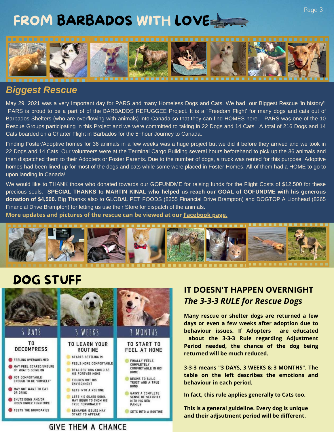## FROM BARBADOS WITH LOVE



## *Biggest Rescue*

May 29, 2021 was a very Important day for PARS and many Homeless Dogs and Cats. We had our Biggest Rescue 'in history'! PARS is proud to be a part of of the BARBADOS REFUGGEE Project. It is a "Freedom Flight' for many dogs and cats out of Barbados Shelters (who are overflowing with animals) into Canada so that they can find HOMES here. PARS was one of the 10 Rescue Groups participating in this Project and we were committed to taking in 22 Dogs and 14 Cats. A total of 216 Dogs and 14 Cats boarded on a Charter Flight in Barbados for the 5+hour Journey to Canada.

Finding Foster/Adoptive homes for 36 animals in a few weeks was a huge project but we did it before they arrived and we took in 22 Dogs and 14 Cats. Our volunteers were at the Terminal Cargo Building several hours beforehand to pick up the 36 animals and then dispatched them to their Adopters or Foster Parents. Due to the number of dogs, a truck was rented for this purpose. Adoptive homes had been lined up for most of the dogs and cats while some were placed in Foster Homes. All of them had a HOME to go to upon landing in Canada!

We would like to THANK those who donated towards our GOFUNDME for raising funds for the Flight Costs of \$12,500 for these precious souls. **SPECIAL THANKS to MARTIN KINAL who helped us reach our GOAL of GOFUNDME with his generous donation of \$4,500.** Big Thanks also to GLOBAL PET FOODS (8255 Financial Drive Brampton) and DOGTOPIA Lionhead (8265 Financial Drive Brampton) for letting us use their Store for dispatch of the animals.

**More updates and pictures of the rescue can be viewed at our [Facebook](https://www.facebook.com/peelanimalrescuesociety) page.**



## DOG STUFF



### **IT DOESN'T HAPPEN OVERNIGHT** *The 3-3-3 RULE for Rescue Dogs*

**Many rescue orshelter dogs are returned a few days or even a few weeks after adoption due to behaviour issues. If Adopters are educated about the 3-3-3 Rule regarding Adjustment Period needed, the chance of the dog being returned will be much reduced.**

**3-3-3 means "3 DAYS, 3 WEEKS & 3 MONTHS". The table on the left describes the emotions and behaviour in each period.**

**In fact, this rule applies generally to Cats too.**

**This is a general guideline. Every dog is unique and their adjsutment period will be different.**

#### **GIVE THEM A CHANCE**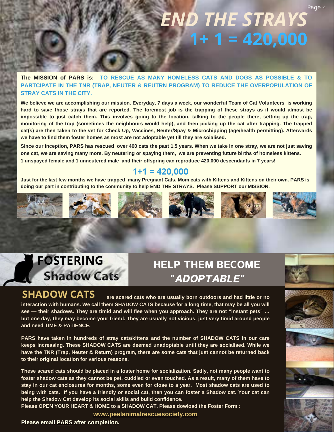## *END THE STRAYS* **1+ 1 = 420,000**

**The MISSION of PARS is: TO RESCUE AS MANY HOMELESS CATS AND DOGS AS POSSIBLE & TO PARTCIPATE IN THE TNR (TRAP, NEUTER & REUTRN PROGRAM) TO REDUCE THE OVERPOPULATION OF STRAY CATS IN THE CITY.**

We believe we are accomplishing our mission. Everyday, 7 days a week, our wonderful Team of Cat Volunteers is working hard to save those strays that are reported. The foremost job is the trapping of these strays as it would almost be impossible to just catch them. This involves going to the location, talking to the people there, setting up the trap, monitoring of the trap (sometimes the neighbours would help), and then picking up the cat after trapping. The trapped cat(s) are then taken to the vet for Check Up, Vaccines, Neuter/Spay & Microchipping (age/health permitting). Afterwards **we have to find them foster homes as most are not adoptable yet till they are soialised.**

Since our inception, PARS has rescued over 400 cats the past 1.5 years. When we take in one stray, we are not just saving one cat, we are saving many more. By neutering or spaying them, we are preventing future births of homeless kittens. **1 unspayed female and 1 unneutered male and their offspring can reproduce 420,000 descendants in 7 years!**

#### **1+1 = 420,000**

Just for the last few months we have trapped many Pregnant Cats, Mom cats with Kittens and Kittens on their own. PARS is **doing our part in contributing to the community to help END THE STRAYS. Please SUPPORT our MISSION.**



## HELP THEM BECOME "ADOPTABLE"

What's

**are scared cats who are usually born outdoors and had little or no interaction with humans. We call them SHADOW CATS because for a long time, that may be all you will see — their shadows. They are timid and will flee when you approach. They are not "instant pets" … [but one day, they may become your friend. They are usually not vicious, just very timid around people](https://www.peelanimalrescuesociety.com/foster-a-pet) and need TIME & PATIENCE. SHADOW CATS**

**[PARS have taken in hundreds of stray cats/kittens and the number of SHADOW CATS in our care](https://www.peelanimalrescuesociety.com/foster-a-pet) keeps increasing. These SHADOW CATS are deemed unadoptable until they are socialised. While we have the TNR (Trap, Neuter & Return) program, there are some cats that just cannot be returned back to their original location for various reasons.**

**These scared cats should be placed in a foster home for socialization. Sadly, not many people want to [foster shadow cats as they cannot be pet, cuddled or even touched. As a result, many of them have to](https://www.peelanimalrescuesociety.com/foster-a-pet) stay in our cat enclosures for months, some even for close to a year. Most shadow cats are used to being with cats[.](https://www.peelanimalrescuesociety.com/foster-a-pet) [If](https://www.peelanimalrescuesociety.com/foster-a-pet) [you have a friendly or social cat, then you can foster a Shadow cat. Your cat can](https://www.peelanimalrescuesociety.com/foster-a-pet) help the Shadow Cat develop its social skills and build confidence.**

**[Please OPEN YOUR HEART & HOME to a SHADOW CAT. Please dowload the Foster Form](https://www.peelanimalrescuesociety.com/foster-a-pet)** :

**[www.peelanimalrescuesociety.com](https://www.peelanimalrescuesociety.com/foster-a-pet)**

**Please email [PARS](mailto:info@peelanimalrescuesociety.com) after completion.**

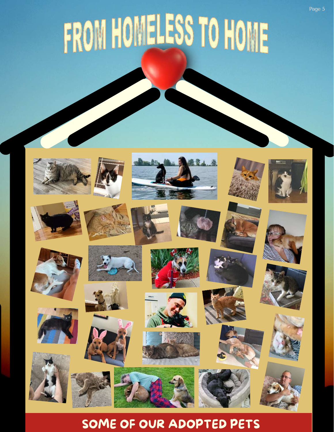# FROM HOMELESS TO HOME



## SOME OF OUR ADOPTED PETS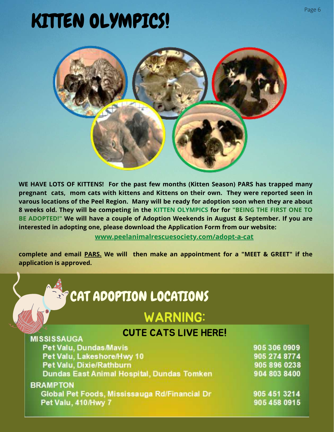# KITTEN OLYMPICS!



**WE HAVE LOTS OF KITTENS! For the past few months (Kitten Season) PARS has trapped many pregnant cats, mom cats with kittens and Kittens on their own. They were reported seen in varous locations of the Peel Region. Many will be ready for adoption soon when they are about 8 weeks old. They will be competing in the KITTEN OLYMPICS for for "BEING THE FIRST ONE TO BE ADOPTED!" We will have a couple of Adoption Weekends in August & September. If you are interested** in adopting one, please download the Application Form from our website:

**[www.peelanimalrescuesociety.com/adopt-a-cat](https://www.peelanimalrescuesociety.com/adopt-a-cat)**

**complete and email [PARS.](mailto:info@peelanimalrescuesociety.com) We will then make an appointment for a "MEET & GREET" if the application is approved.**

| <b>SP CAT ADOPTION LOCATIONS</b>                                                                                               |                                                              |
|--------------------------------------------------------------------------------------------------------------------------------|--------------------------------------------------------------|
| <b>WARNING:</b>                                                                                                                |                                                              |
| <b>CUTE CATS LIVE HERE!</b><br><b>MISSISSAUGA</b>                                                                              |                                                              |
| Pet Valu, Dundas Mavis<br>Pet Valu, Lakeshore/Hwy 10<br>Pet Valu, Dixie/Rathburn<br>Dundas East Animal Hospital, Dundas Tomken | 905 306 0909<br>905 274 8774<br>905 896 0238<br>904 803 8400 |
| <b>BRAMPTON</b><br>Global Pet Foods, Mississauga Rd/Financial Dr<br>Pet Valu, 410/Hwy 7                                        | 905 451 3214<br>905 458 0915                                 |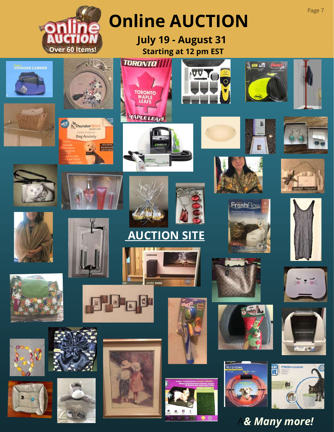